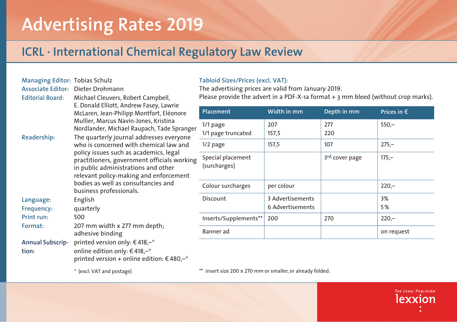# **Advertising Rates 2019**

## **ICRL · International Chemical Regulatory Law Review**

| <b>Managing Editor: Tobias Schulz</b> |                                                                                                                                                                                                                                                                                                                                |
|---------------------------------------|--------------------------------------------------------------------------------------------------------------------------------------------------------------------------------------------------------------------------------------------------------------------------------------------------------------------------------|
| <b>Associate Editor:</b>              | Dieter Drohmann                                                                                                                                                                                                                                                                                                                |
| <b>Editorial Board:</b>               | Michael Cleuvers, Robert Campbell,<br>E. Donald Elliott, Andrew Fasey, Lawrie<br>McLaren, Jean-Philipp Montfort, Eléonore<br>Mullier, Marcus Navin-Jones, Kristina<br>Nordlander, Michael Raupach, Tade Spranger                                                                                                               |
| Readership:                           | The quarterly journal addresses everyone<br>who is concerned with chemical law and<br>policy issues such as academics, legal<br>practitioners, government officials working<br>in public administrations and other<br>relevant policy-making and enforcement<br>bodies as well as consultancies and<br>business professionals. |
| Language:                             | English                                                                                                                                                                                                                                                                                                                        |
| Frequency:                            | quarterly                                                                                                                                                                                                                                                                                                                      |
| Print run:                            | 500                                                                                                                                                                                                                                                                                                                            |
| Format:                               | 207 mm width x 277 mm depth;<br>adhesive binding                                                                                                                                                                                                                                                                               |
| <b>Annual Subscrip-</b>               | printed version only: €418,-*                                                                                                                                                                                                                                                                                                  |
| tion:                                 | online edition only: €418,–*                                                                                                                                                                                                                                                                                                   |
|                                       | printed version + online edition: €480,–*                                                                                                                                                                                                                                                                                      |

### **Tabloid Sizes/Prices (excl. VAT):**

The advertising prices are valid from January 2019.

Please provide the advert in a PDF-X-1a format + 3 mm bleed (without crop marks).

| Placement                         | Width in mm                          | Depth in mm                | Prices in $\epsilon$ |
|-----------------------------------|--------------------------------------|----------------------------|----------------------|
| $1/1$ page<br>1/1 page truncated  | 207<br>157,5                         | 277<br>220                 | $550 -$              |
| $1/2$ page                        | 157,5                                | 107                        | $275 -$              |
| Special placement<br>(surcharges) |                                      | 3 <sup>rd</sup> cover page | $175 -$              |
| Colour surcharges                 | per colour                           |                            | $220 -$              |
| Discount                          | 3 Advertisements<br>6 Advertisements |                            | 3%<br>5%             |
| Inserts/Supplements**             | 200                                  | 270                        | $220 -$              |
| Banner ad                         |                                      |                            | on request           |

\*\* insert size 200 x 270 mm or smaller, or already folded.

\* (excl. VAT and postage)

THE LEGAL PUBLISHER lexxior